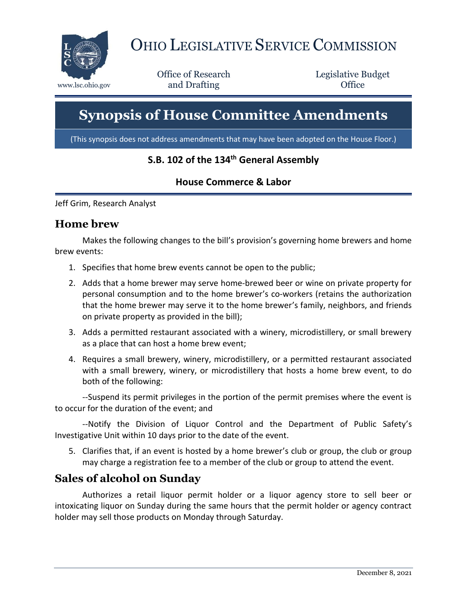

# OHIO LEGISLATIVE SERVICE COMMISSION

Office of Research www.lsc.ohio.gov **and Drafting Office** 

Legislative Budget

# **Synopsis of House Committee Amendments**

(This synopsis does not address amendments that may have been adopted on the House Floor.)

#### **S.B. 102 of the 134th General Assembly**

#### **House Commerce & Labor**

Jeff Grim, Research Analyst

#### **Home brew**

Makes the following changes to the bill's provision's governing home brewers and home brew events:

- 1. Specifies that home brew events cannot be open to the public;
- 2. Adds that a home brewer may serve home-brewed beer or wine on private property for personal consumption and to the home brewer's co-workers (retains the authorization that the home brewer may serve it to the home brewer's family, neighbors, and friends on private property as provided in the bill);
- 3. Adds a permitted restaurant associated with a winery, microdistillery, or small brewery as a place that can host a home brew event;
- 4. Requires a small brewery, winery, microdistillery, or a permitted restaurant associated with a small brewery, winery, or microdistillery that hosts a home brew event, to do both of the following:

--Suspend its permit privileges in the portion of the permit premises where the event is to occur for the duration of the event; and

--Notify the Division of Liquor Control and the Department of Public Safety's Investigative Unit within 10 days prior to the date of the event.

5. Clarifies that, if an event is hosted by a home brewer's club or group, the club or group may charge a registration fee to a member of the club or group to attend the event.

#### **Sales of alcohol on Sunday**

Authorizes a retail liquor permit holder or a liquor agency store to sell beer or intoxicating liquor on Sunday during the same hours that the permit holder or agency contract holder may sell those products on Monday through Saturday.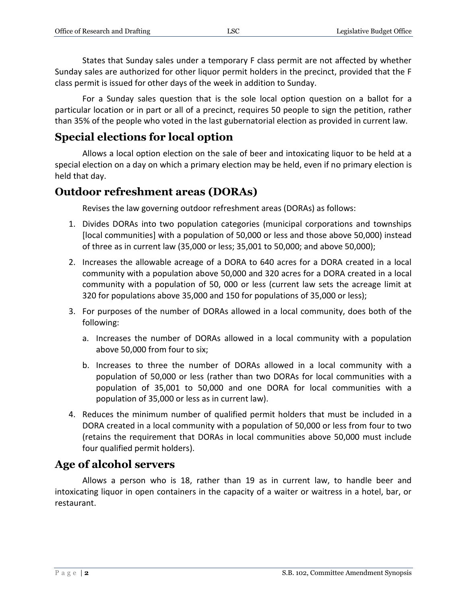States that Sunday sales under a temporary F class permit are not affected by whether Sunday sales are authorized for other liquor permit holders in the precinct, provided that the F class permit is issued for other days of the week in addition to Sunday.

For a Sunday sales question that is the sole local option question on a ballot for a particular location or in part or all of a precinct, requires 50 people to sign the petition, rather than 35% of the people who voted in the last gubernatorial election as provided in current law.

### **Special elections for local option**

Allows a local option election on the sale of beer and intoxicating liquor to be held at a special election on a day on which a primary election may be held, even if no primary election is held that day.

#### **Outdoor refreshment areas (DORAs)**

Revises the law governing outdoor refreshment areas (DORAs) as follows:

- 1. Divides DORAs into two population categories (municipal corporations and townships [local communities] with a population of 50,000 or less and those above 50,000) instead of three as in current law (35,000 or less; 35,001 to 50,000; and above 50,000);
- 2. Increases the allowable acreage of a DORA to 640 acres for a DORA created in a local community with a population above 50,000 and 320 acres for a DORA created in a local community with a population of 50, 000 or less (current law sets the acreage limit at 320 for populations above 35,000 and 150 for populations of 35,000 or less);
- 3. For purposes of the number of DORAs allowed in a local community, does both of the following:
	- a. Increases the number of DORAs allowed in a local community with a population above 50,000 from four to six;
	- b. Increases to three the number of DORAs allowed in a local community with a population of 50,000 or less (rather than two DORAs for local communities with a population of 35,001 to 50,000 and one DORA for local communities with a population of 35,000 or less as in current law).
- 4. Reduces the minimum number of qualified permit holders that must be included in a DORA created in a local community with a population of 50,000 or less from four to two (retains the requirement that DORAs in local communities above 50,000 must include four qualified permit holders).

#### **Age of alcohol servers**

Allows a person who is 18, rather than 19 as in current law, to handle beer and intoxicating liquor in open containers in the capacity of a waiter or waitress in a hotel, bar, or restaurant.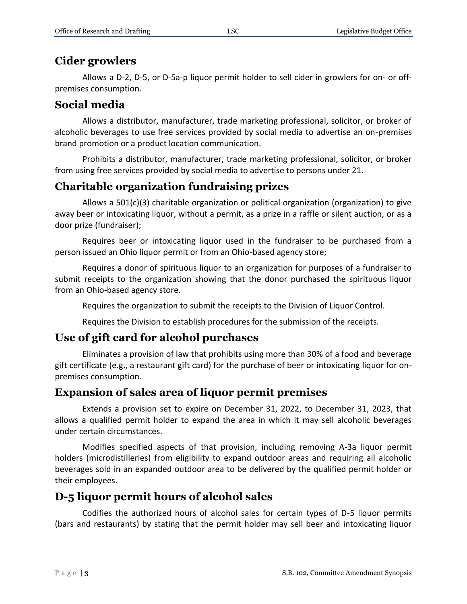## **Cider growlers**

Allows a D-2, D-5, or D-5a-p liquor permit holder to sell cider in growlers for on- or offpremises consumption.

# **Social media**

Allows a distributor, manufacturer, trade marketing professional, solicitor, or broker of alcoholic beverages to use free services provided by social media to advertise an on-premises brand promotion or a product location communication.

Prohibits a distributor, manufacturer, trade marketing professional, solicitor, or broker from using free services provided by social media to advertise to persons under 21.

# **Charitable organization fundraising prizes**

Allows a  $501(c)(3)$  charitable organization or political organization (organization) to give away beer or intoxicating liquor, without a permit, as a prize in a raffle or silent auction, or as a door prize (fundraiser);

Requires beer or intoxicating liquor used in the fundraiser to be purchased from a person issued an Ohio liquor permit or from an Ohio-based agency store;

Requires a donor of spirituous liquor to an organization for purposes of a fundraiser to submit receipts to the organization showing that the donor purchased the spirituous liquor from an Ohio-based agency store.

Requires the organization to submit the receipts to the Division of Liquor Control.

Requires the Division to establish procedures for the submission of the receipts.

#### **Use of gift card for alcohol purchases**

Eliminates a provision of law that prohibits using more than 30% of a food and beverage gift certificate (e.g., a restaurant gift card) for the purchase of beer or intoxicating liquor for onpremises consumption.

#### **Expansion of sales area of liquor permit premises**

Extends a provision set to expire on December 31, 2022, to December 31, 2023, that allows a qualified permit holder to expand the area in which it may sell alcoholic beverages under certain circumstances.

Modifies specified aspects of that provision, including removing A-3a liquor permit holders (microdistilleries) from eligibility to expand outdoor areas and requiring all alcoholic beverages sold in an expanded outdoor area to be delivered by the qualified permit holder or their employees.

#### **D-5 liquor permit hours of alcohol sales**

Codifies the authorized hours of alcohol sales for certain types of D-5 liquor permits (bars and restaurants) by stating that the permit holder may sell beer and intoxicating liquor